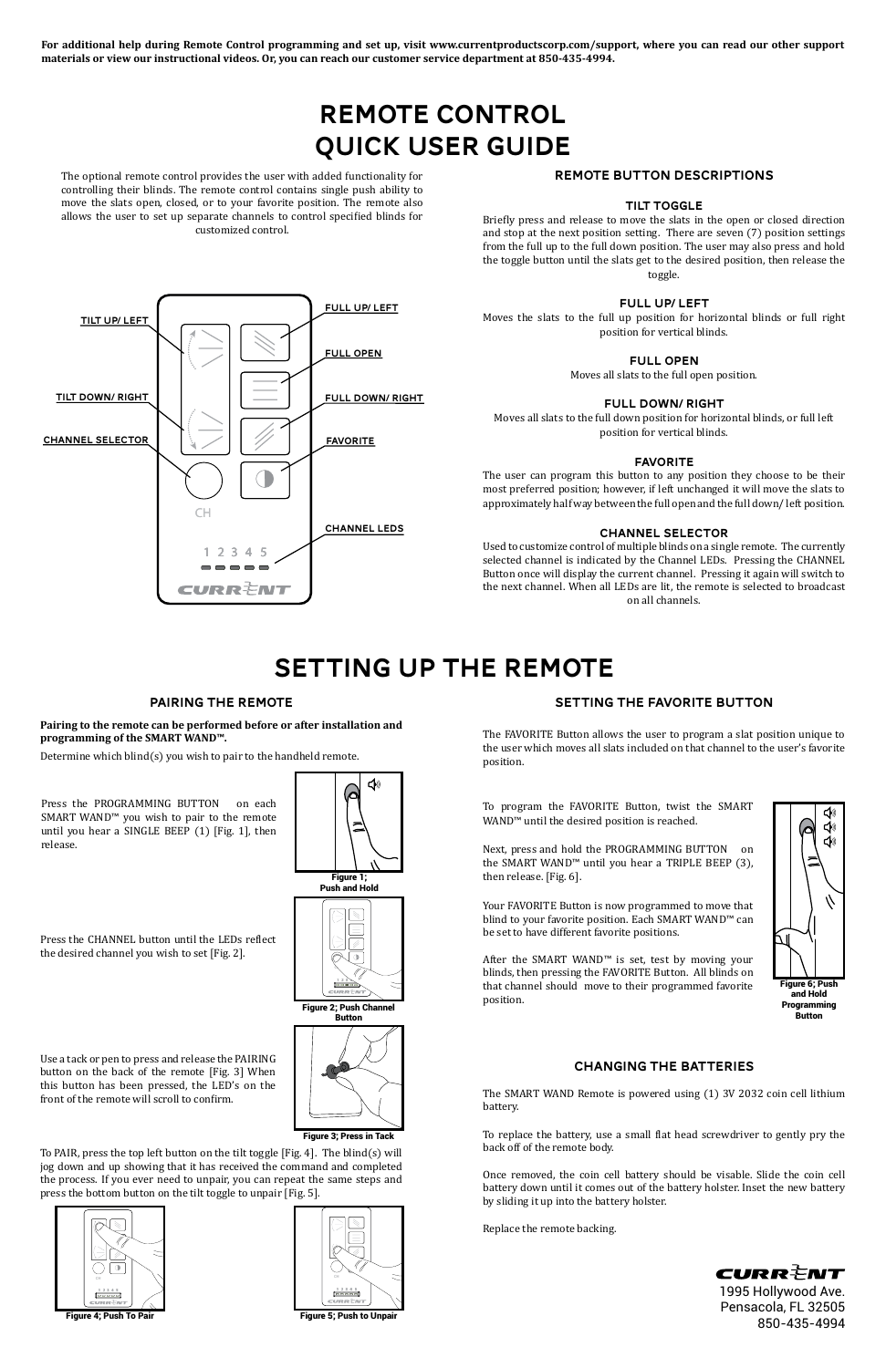# REMOTE CONTROL Quick USER GUIDE

**FULL UP/ LEFT** 

**FULL OPEN** 

The optional remote control provides the user with added functionality for controlling their blinds. The remote control contains single push ability to move the slats open, closed, or to your favorite position. The remote also allows the user to set up separate channels to control specified blinds for customized control.

Tilt Down/ Right

Full Down/ Right

Channel LEDs

CH

### REMOTE BUTTON DESCRIPTIONS

#### TILT TOGGLE

Briefly press and release to move the slats in the open or closed direction and stop at the next position setting. There are seven (7) position settings from the full up to the full down position. The user may also press and hold the toggle button until the slats get to the desired position, then release the toggle.

#### FULL UP/ LEFT

Determine which blind(s) you wish to pair to the handheld remote. 的 Moves the slats to the full up position for horizontal blinds or full right position for vertical blinds.

FULL OPEN

Moves all slats to the full open position.

#### FULL DOWN/ RIGHT

Moves all slats to the full down position for horizontal blinds, or full left position for vertical blinds.

#### FAVORITE

The user can program this button to any position they choose to be their most preferred position; however, if left unchanged it will move the slats to approximately half way between the full open and the full down/ left position.

#### CHANNEL SELECTOR

Used to customize control of multiple blinds on a single remote. The currently selected channel is indicated by the Channel LEDs. Pressing the CHANNEL Button once will display the current channel. Pressing it again will switch to the next channel. When all LEDs are lit, the remote is selected to broadcast on all channels.

Next, press and hold the PROGRAMMING BUTTON on the SMART WAND™ until you hear a TRIPLE BEEP (3), then release. [Fig. 6].

# SETTING UP THE REMOTE

Press the PROGRAMMING BUTTON on each SMART WAND™ you wish to pair to the remote until you hear a SINGLE BEEP (1) [Fig. 1], then release.

**TILT UP/ LEFT** 

Figure 1;



CURRÈNT 1995 Hollywood Ave. Pensacola, FL 32505 850-435-4994





Press the CHANNEL button until the LEDs reflect the desired channel you wish to set [Fig. 2].

Figure 3; Press in Tack

Use a tack or pen to press and release the PAIRING button on the back of the remote [Fig. 3] When this button has been pressed, the LED's on the front of the remote will scroll to confirm.

To PAIR, press the top left button on the tilt toggle [Fig. 4]. The blind(s) will jog down and up showing that it has received the command and completed the process. If you ever need to unpair, you can repeat the same steps and press the bottom button on the tilt toggle to unpair [Fig. 5].





#### PAIRING THE REMOTE

 $-4$ 

CURRÈNT

 $CHANNEL SELECTOR$   $\left| \right|$   $\left| \right|$   $\left| \right|$   $\left| \right|$   $\left| \right|$   $\left| \right|$   $\left| \right|$   $\left| \right|$   $\left| \right|$   $\left| \right|$   $\left| \right|$   $\left| \right|$   $\left| \right|$   $\left| \right|$   $\left| \right|$   $\left| \right|$   $\left| \right|$   $\left| \right|$   $\left| \right|$   $\left| \right|$   $\left| \right|$   $\left| \right|$   $\left| \right|$   $\left|$ 

**Pairing to the remote can be performed before or after installation and programming of the SMART WAND™.**

#### SETTING THE FAVORITE BUTTON

The FAVORITE Button allows the user to program a slat position unique to the user which moves all slats included on that channel to the user's favorite position.

To program the FAVORITE Button, twist the SMART WAND™ until the desired position is reached.



# Button

Your FAVORITE Button is now programmed to move that blind to your favorite position. Each SMART WAND™ can be set to have different favorite positions.

After the SMART WAND™ is set, test by moving your blinds, then pressing the FAVORITE Button. All blinds on that channel should move to their programmed favorite position.

**For additional help during Remote Control programming and set up, visit www.currentproductscorp.com/support, where you can read our other support materials or view our instructional videos. Or, you can reach our customer service department at 850-435-4994.** 

### Changing the Batteries

The SMART WAND Remote is powered using (1) 3V 2032 coin cell lithium battery.

To replace the battery, use a small flat head screwdriver to gently pry the back off of the remote body.

Once removed, the coin cell battery should be visable. Slide the coin cell battery down until it comes out of the battery holster. Inset the new battery by sliding it up into the battery holster.

Replace the remote backing.